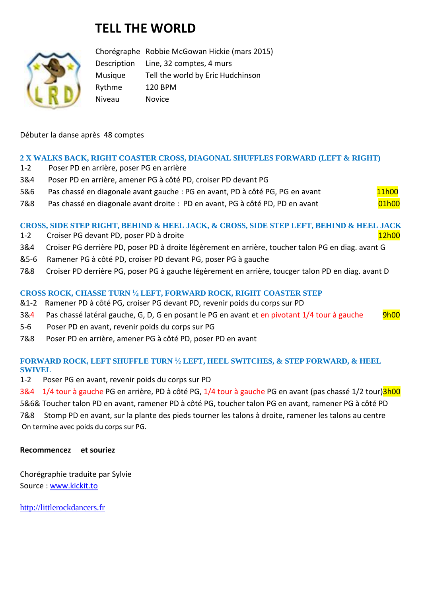# **TELL THE WORLD**



Chorégraphe Robbie McGowan Hickie (mars 2015) Description Line, 32 comptes, 4 murs Musique Tell the world by Eric Hudchinson Rythme 120 BPM Niveau Novice

### Débuter la danse après 48 comptes

#### **2 X WALKS BACK, RIGHT COASTER CROSS, DIAGONAL SHUFFLES FORWARD (LEFT & RIGHT)**

- 1-2 Poser PD en arrière, poser PG en arrière
- 3&4 Poser PD en arrière, amener PG à côté PD, croiser PD devant PG
- 5&6 Pas chassé en diagonale avant gauche : PG en avant, PD à côté PG, PG en avant 11h00
- 7&8 Pas chassé en diagonale avant droite : PD en avant, PG à côté PD, PD en avant 01h00

**CROSS, SIDE STEP RIGHT, BEHIND & HEEL JACK, & CROSS, SIDE STEP LEFT, BEHIND & HEEL JACK**

- 1-2 Croiser PG devant PD, poser PD à droite 12h00 et al. 12h00 et al. 12h00 et al. 12h00
- 3&4 Croiser PG derrière PD, poser PD à droite légèrement en arrière, toucher talon PG en diag. avant G
- &5-6 Ramener PG à côté PD, croiser PD devant PG, poser PG à gauche
- 7&8 Croiser PD derrière PG, poser PG à gauche légèrement en arrière, toucger talon PD en diag. avant D

#### **CROSS ROCK, CHASSE TURN <sup>1</sup> ⁄<sup>4</sup> LEFT, FORWARD ROCK, RIGHT COASTER STEP**

- &1-2 Ramener PD à côté PG, croiser PG devant PD, revenir poids du corps sur PD
- 3&4 Pas chassé latéral gauche, G, D, G en posant le PG en avant et en pivotant 1/4 tour à gauche 9h00
- 5-6 Poser PD en avant, revenir poids du corps sur PG
- 7&8 Poser PD en arrière, amener PG à côté PD, poser PD en avant

#### **FORWARD ROCK, LEFT SHUFFLE TURN <sup>1</sup> ⁄<sup>2</sup> LEFT, HEEL SWITCHES, & STEP FORWARD, & HEEL SWIVEL**

1-2 Poser PG en avant, revenir poids du corps sur PD

3&4 1/4 tour à gauche PG en arrière, PD à côté PG, 1/4 tour à gauche PG en avant (pas chassé 1/2 tour)<sup>3h00</sup> 5&6& Toucher talon PD en avant, ramener PD à côté PG, toucher talon PG en avant, ramener PG à côté PD

7&8 Stomp PD en avant, sur la plante des pieds tourner les talons à droite, ramener les talons au centre On termine avec poids du corps sur PG.

#### **Recommencez et souriez**

Chorégraphie traduite par Sylvie Source : [www.kickit.to](http://www.kickit.to/)

[http://littlerockdancers.fr](http://littlerockdancers.fr/)